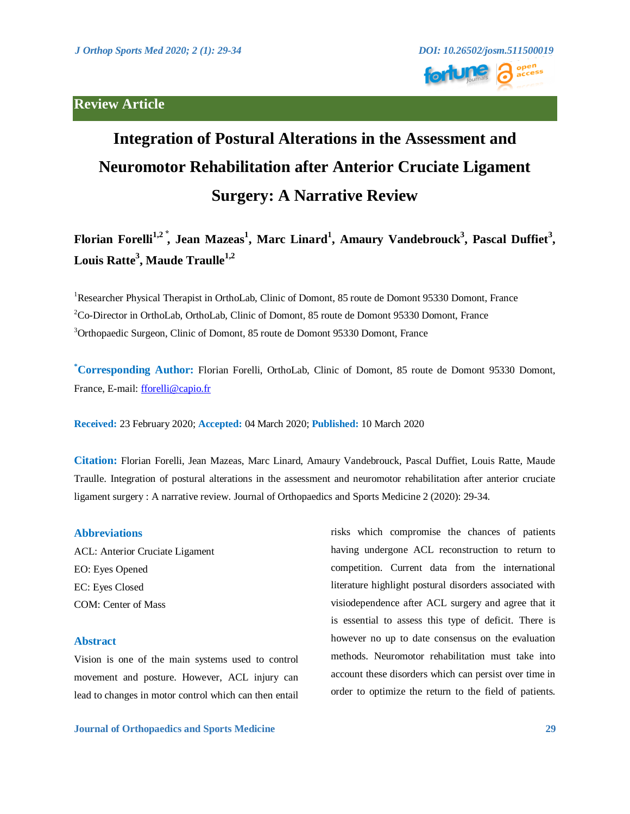# **Review Article**



# **Integration of Postural Alterations in the Assessment and Neuromotor Rehabilitation after Anterior Cruciate Ligament Surgery: A Narrative Review**

**Florian Forelli1,2 ⃰ , Jean Mazeas<sup>1</sup> , Marc Linard<sup>1</sup> , Amaury Vandebrouck<sup>3</sup> , Pascal Duffiet<sup>3</sup> , Louis Ratte<sup>3</sup> , Maude Traulle1,2**

<sup>1</sup>Researcher Physical Therapist in OrthoLab, Clinic of Domont, 85 route de Domont 95330 Domont, France <sup>2</sup>Co-Director in OrthoLab, OrthoLab, Clinic of Domont, 85 route de Domont 95330 Domont, France <sup>3</sup>Orthopaedic Surgeon, Clinic of Domont, 85 route de Domont 95330 Domont, France

**\*Corresponding Author:** Florian Forelli, OrthoLab, Clinic of Domont, 85 route de Domont 95330 Domont, France, E-mail: [fforelli@capio.fr](mailto:fforelli@capio.fr)

**Received:** 23 February 2020; **Accepted:** 04 March 2020; **Published:** 10 March 2020

**Citation:** Florian Forelli, Jean Mazeas, Marc Linard, Amaury Vandebrouck, Pascal Duffiet, Louis Ratte, Maude Traulle. Integration of postural alterations in the assessment and neuromotor rehabilitation after anterior cruciate ligament surgery : A narrative review. Journal of Orthopaedics and Sports Medicine 2 (2020): 29-34.

## **Abbreviations**

ACL: Anterior Cruciate Ligament EO: Eyes Opened EC: Eyes Closed COM: Center of Mass

# **Abstract**

Vision is one of the main systems used to control movement and posture. However, ACL injury can lead to changes in motor control which can then entail

risks which compromise the chances of patients having undergone ACL reconstruction to return to competition. Current data from the international literature highlight postural disorders associated with visiodependence after ACL surgery and agree that it is essential to assess this type of deficit. There is however no up to date consensus on the evaluation methods. Neuromotor rehabilitation must take into account these disorders which can persist over time in order to optimize the return to the field of patients.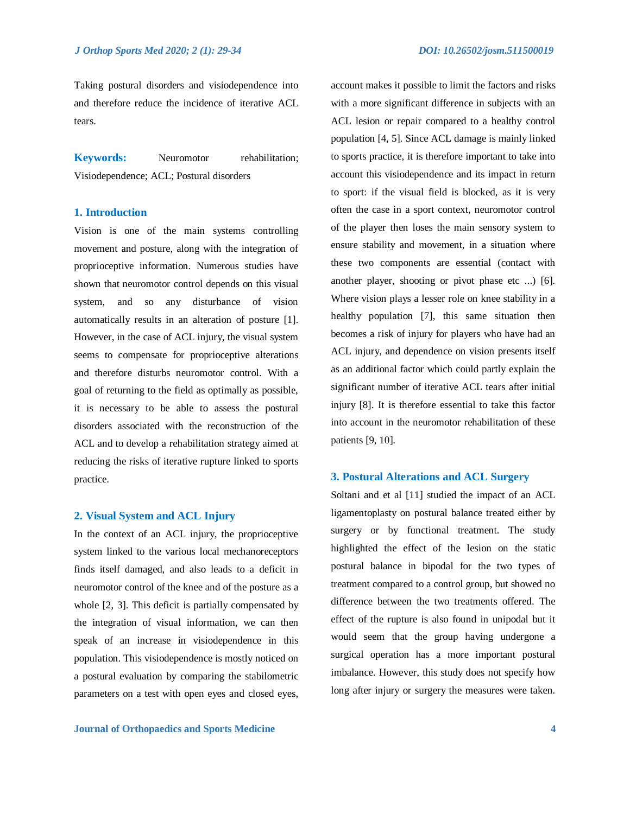Taking postural disorders and visiodependence into account makes it possible to limit the factors and risks and therefore reduce the incidence of iterative ACL tears.

**Keywords:** Neuromotor rehabilitation; Visiodependence; ACL; Postural disorders

# **1. Introduction**

Vision is one of the main systems controlling movement and posture, along with the integration of proprioceptive information. Numerous studies have shown that neuromotor control depends on this visual system, and so any disturbance of vision automatically results in an alteration of posture [1]. However, in the case of ACL injury, the visual system seems to compensate for proprioceptive alterations and therefore disturbs neuromotor control. With a goal of returning to the field as optimally as possible, it is necessary to be able to assess the postural disorders associated with the reconstruction of the ACL and to develop a rehabilitation strategy aimed at reducing the risks of iterative rupture linked to sports practice.

#### **2. Visual System and ACL Injury**

In the context of an ACL injury, the proprioceptive system linked to the various local mechanoreceptors finds itself damaged, and also leads to a deficit in neuromotor control of the knee and of the posture as a whole [2, 3]. This deficit is partially compensated by the integration of visual information, we can then speak of an increase in visiodependence in this population. This visiodependence is mostly noticed on a postural evaluation by comparing the stabilometric parameters on a test with open eyes and closed eyes,

with a more significant difference in subjects with an ACL lesion or repair compared to a healthy control population [4, 5]. Since ACL damage is mainly linked to sports practice, it is therefore important to take into account this visiodependence and its impact in return to sport: if the visual field is blocked, as it is very often the case in a sport context, neuromotor control of the player then loses the main sensory system to ensure stability and movement, in a situation where these two components are essential (contact with another player, shooting or pivot phase etc ...) [6]. Where vision plays a lesser role on knee stability in a healthy population [7], this same situation then becomes a risk of injury for players who have had an ACL injury, and dependence on vision presents itself as an additional factor which could partly explain the significant number of iterative ACL tears after initial injury [8]. It is therefore essential to take this factor into account in the neuromotor rehabilitation of these patients [9, 10].

#### **3. Postural Alterations and ACL Surgery**

Soltani and et al [11] studied the impact of an ACL ligamentoplasty on postural balance treated either by surgery or by functional treatment. The study highlighted the effect of the lesion on the static postural balance in bipodal for the two types of treatment compared to a control group, but showed no difference between the two treatments offered. The effect of the rupture is also found in unipodal but it would seem that the group having undergone a surgical operation has a more important postural imbalance. However, this study does not specify how long after injury or surgery the measures were taken.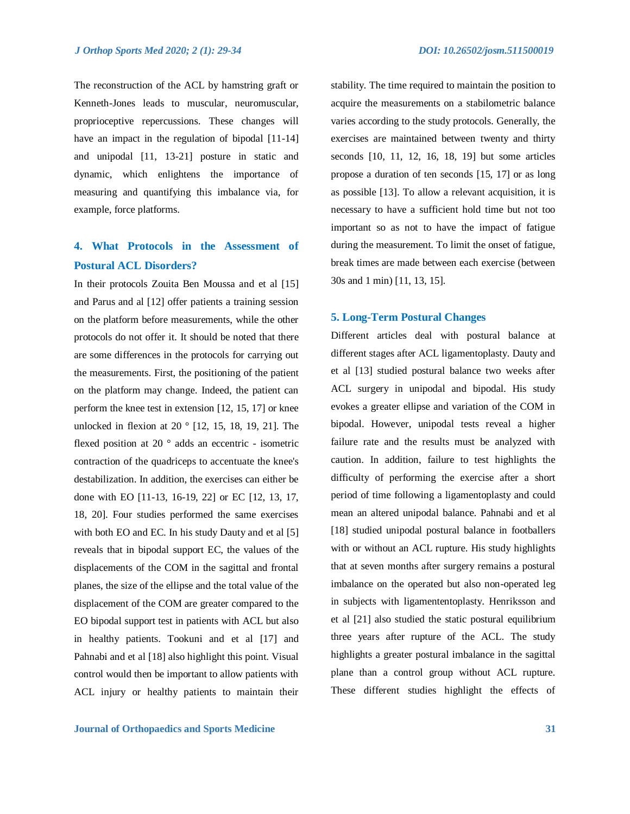The reconstruction of the ACL by hamstring graft or Kenneth-Jones leads to muscular, neuromuscular, proprioceptive repercussions. These changes will have an impact in the regulation of bipodal [11-14] and unipodal [11, 13-21] posture in static and dynamic, which enlightens the importance of measuring and quantifying this imbalance via, for example, force platforms.

# **4. What Protocols in the Assessment of Postural ACL Disorders?**

In their protocols Zouita Ben Moussa and et al [15] and Parus and al [12] offer patients a training session on the platform before measurements, while the other protocols do not offer it. It should be noted that there are some differences in the protocols for carrying out the measurements. First, the positioning of the patient on the platform may change. Indeed, the patient can perform the knee test in extension [12, 15, 17] or knee unlocked in flexion at 20 ° [12, 15, 18, 19, 21]. The flexed position at 20 ° adds an eccentric - isometric contraction of the quadriceps to accentuate the knee's destabilization. In addition, the exercises can either be done with EO [11-13, 16-19, 22] or EC [12, 13, 17, 18, 20]. Four studies performed the same exercises with both EO and EC. In his study Dauty and et al [5] reveals that in bipodal support EC, the values of the displacements of the COM in the sagittal and frontal planes, the size of the ellipse and the total value of the displacement of the COM are greater compared to the EO bipodal support test in patients with ACL but also in healthy patients. Tookuni and et al [17] and Pahnabi and et al [18] also highlight this point. Visual control would then be important to allow patients with ACL injury or healthy patients to maintain their

stability. The time required to maintain the position to acquire the measurements on a stabilometric balance varies according to the study protocols. Generally, the exercises are maintained between twenty and thirty seconds [10, 11, 12, 16, 18, 19] but some articles propose a duration of ten seconds [15, 17] or as long as possible [13]. To allow a relevant acquisition, it is necessary to have a sufficient hold time but not too important so as not to have the impact of fatigue during the measurement. To limit the onset of fatigue, break times are made between each exercise (between 30s and 1 min) [11, 13, 15].

## **5. Long-Term Postural Changes**

Different articles deal with postural balance at different stages after ACL ligamentoplasty. Dauty and et al [13] studied postural balance two weeks after ACL surgery in unipodal and bipodal. His study evokes a greater ellipse and variation of the COM in bipodal. However, unipodal tests reveal a higher failure rate and the results must be analyzed with caution. In addition, failure to test highlights the difficulty of performing the exercise after a short period of time following a ligamentoplasty and could mean an altered unipodal balance. Pahnabi and et al [18] studied unipodal postural balance in footballers with or without an ACL rupture. His study highlights that at seven months after surgery remains a postural imbalance on the operated but also non-operated leg in subjects with ligamententoplasty. Henriksson and et al [21] also studied the static postural equilibrium three years after rupture of the ACL. The study highlights a greater postural imbalance in the sagittal plane than a control group without ACL rupture. These different studies highlight the effects of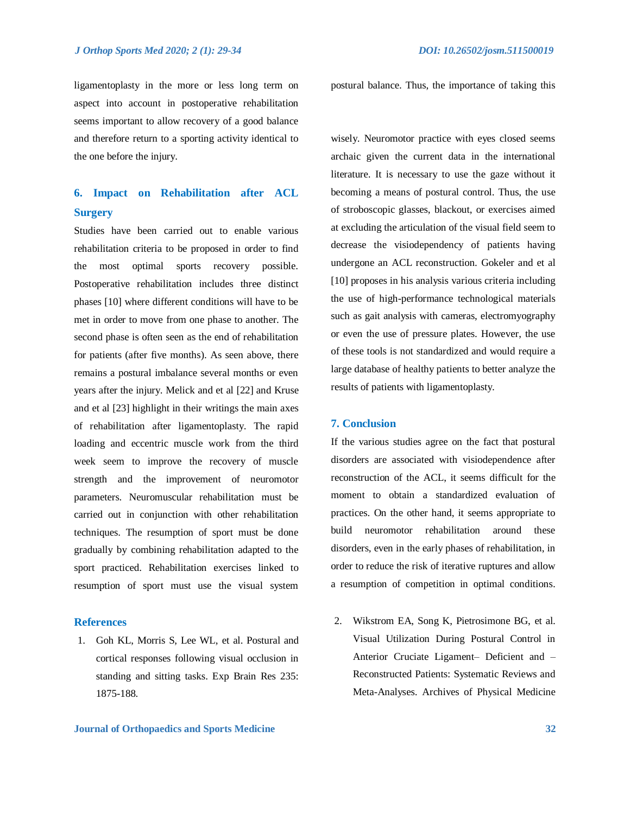aspect into account in postoperative rehabilitation seems important to allow recovery of a good balance and therefore return to a sporting activity identical to the one before the injury.

# **6. Impact on Rehabilitation after ACL Surgery**

Studies have been carried out to enable various rehabilitation criteria to be proposed in order to find the most optimal sports recovery possible. Postoperative rehabilitation includes three distinct phases [10] where different conditions will have to be met in order to move from one phase to another. The second phase is often seen as the end of rehabilitation for patients (after five months). As seen above, there remains a postural imbalance several months or even years after the injury. Melick and et al [22] and Kruse and et al [23] highlight in their writings the main axes of rehabilitation after ligamentoplasty. The rapid loading and eccentric muscle work from the third week seem to improve the recovery of muscle strength and the improvement of neuromotor parameters. Neuromuscular rehabilitation must be carried out in conjunction with other rehabilitation techniques. The resumption of sport must be done gradually by combining rehabilitation adapted to the sport practiced. Rehabilitation exercises linked to resumption of sport must use the visual system

## **References**

1. Goh KL, Morris S, Lee WL, et al. Postural and cortical responses following visual occlusion in standing and sitting tasks. Exp Brain Res 235: 1875-188.

ligamentoplasty in the more or less long term on postural balance. Thus, the importance of taking this

wisely. Neuromotor practice with eyes closed seems archaic given the current data in the international literature. It is necessary to use the gaze without it becoming a means of postural control. Thus, the use of stroboscopic glasses, blackout, or exercises aimed at excluding the articulation of the visual field seem to decrease the visiodependency of patients having undergone an ACL reconstruction. Gokeler and et al [10] proposes in his analysis various criteria including the use of high-performance technological materials such as gait analysis with cameras, electromyography or even the use of pressure plates. However, the use of these tools is not standardized and would require a large database of healthy patients to better analyze the results of patients with ligamentoplasty.

# **7. Conclusion**

If the various studies agree on the fact that postural disorders are associated with visiodependence after reconstruction of the ACL, it seems difficult for the moment to obtain a standardized evaluation of practices. On the other hand, it seems appropriate to build neuromotor rehabilitation around these disorders, even in the early phases of rehabilitation, in order to reduce the risk of iterative ruptures and allow a resumption of competition in optimal conditions.

2. Wikstrom EA, Song K, Pietrosimone BG, et al. Visual Utilization During Postural Control in Anterior Cruciate Ligament– Deficient and – Reconstructed Patients: Systematic Reviews and Meta-Analyses. Archives of Physical Medicine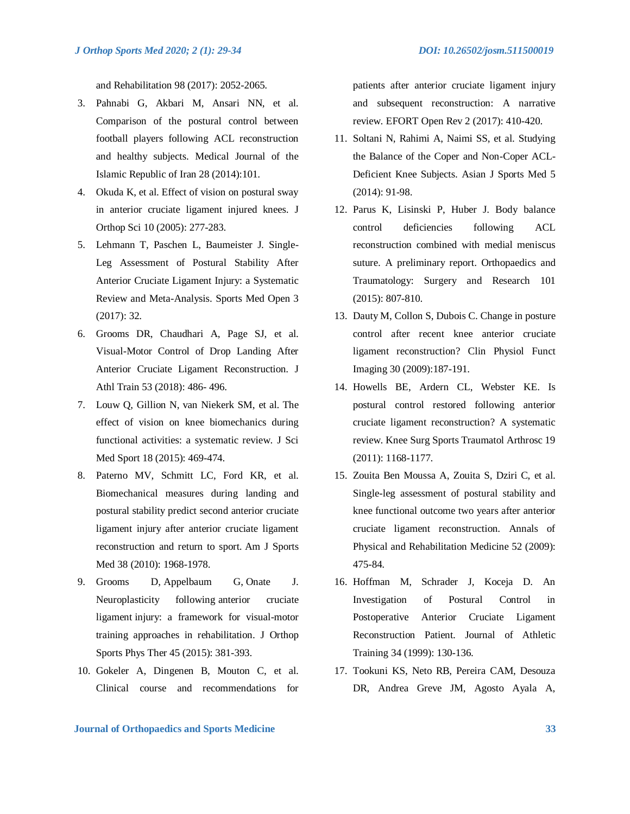and Rehabilitation 98 (2017): 2052-2065.

- 3. Pahnabi G, Akbari M, Ansari NN, et al. Comparison of the postural control between football players following ACL reconstruction and healthy subjects. Medical Journal of the Islamic Republic of Iran 28 (2014):101.
- 4. Okuda K, et al. Effect of vision on postural sway in anterior cruciate ligament injured knees. J Orthop Sci 10 (2005): 277-283.
- 5. Lehmann T, Paschen L, Baumeister J. Single-Leg Assessment of Postural Stability After Anterior Cruciate Ligament Injury: a Systematic Review and Meta-Analysis. Sports Med Open 3 (2017): 32.
- 6. Grooms DR, Chaudhari A, Page SJ, et al. Visual-Motor Control of Drop Landing After Anterior Cruciate Ligament Reconstruction. J Athl Train 53 (2018): 486- 496.
- 7. Louw Q, Gillion N, van Niekerk SM, et al. The effect of vision on knee biomechanics during functional activities: a systematic review. J Sci Med Sport 18 (2015): 469-474.
- 8. Paterno MV, Schmitt LC, Ford KR, et al. Biomechanical measures during landing and postural stability predict second anterior cruciate ligament injury after anterior cruciate ligament reconstruction and return to sport. Am J Sports Med 38 (2010): 1968-1978.
- 9. Grooms D, Appelbaum G, Onate J. Neuroplasticity following anterior cruciate ligament injury: a framework for visual-motor training approaches in rehabilitation. J Orthop Sports Phys Ther 45 (2015): 381-393.
- 10. Gokeler A, Dingenen B, Mouton C, et al. Clinical course and recommendations for

patients after anterior cruciate ligament injury and subsequent reconstruction: A narrative review. EFORT Open Rev 2 (2017): 410-420.

- 11. Soltani N, Rahimi A, Naimi SS, et al. Studying the Balance of the Coper and Non-Coper ACL-Deficient Knee Subjects. Asian J Sports Med 5 (2014): 91-98.
- 12. Parus K, Lisinski P, Huber J. Body balance control deficiencies following ACL reconstruction combined with medial meniscus suture. A preliminary report. Orthopaedics and Traumatology: Surgery and Research 101 (2015): 807-810.
- 13. Dauty M, Collon S, Dubois C. Change in posture control after recent knee anterior cruciate ligament reconstruction? Clin Physiol Funct Imaging 30 (2009):187-191.
- 14. Howells BE, Ardern CL, Webster KE. Is postural control restored following anterior cruciate ligament reconstruction? A systematic review. Knee Surg Sports Traumatol Arthrosc 19 (2011): 1168-1177.
- 15. Zouita Ben Moussa A, Zouita S, Dziri C, et al. Single-leg assessment of postural stability and knee functional outcome two years after anterior cruciate ligament reconstruction. Annals of Physical and Rehabilitation Medicine 52 (2009): 475-84.
- 16. Hoffman M, Schrader J, Koceja D. An Investigation of Postural Control in Postoperative Anterior Cruciate Ligament Reconstruction Patient. Journal of Athletic Training 34 (1999): 130-136.
- 17. Tookuni KS, Neto RB, Pereira CAM, Desouza DR, Andrea Greve JM, Agosto Ayala A,